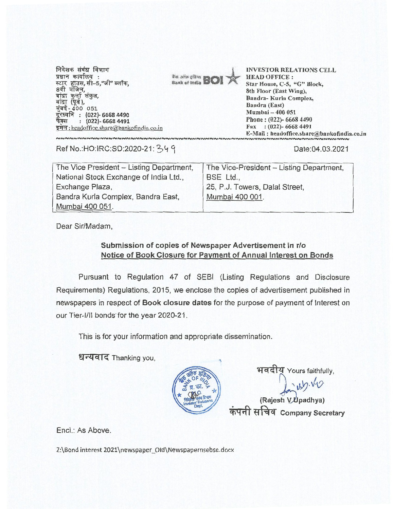निवेशक संबंध विभाग प्रधान कार्यालय: स्टार हाउस, सी-5,"जी" ब्लॉक. 8वी मंजिल, उन: गुल्मी 'संकुल,<br>बांद्रा (पूर्व),<br>सुंबई - 400 051<br>दूरध्वनि : (022)- 6668 4490 फेंक्स  $(022) - 66684491$ इमेल: headoffice.share@bankofindia.co.in

It's ains steam Bank of India **BC** 

**INVESTOR RELATIONS CELL HEAD OFFICE:** Star House, C-5, "G" Block, 8th Floor (East Wing), Bandra-Kurla Complex, **Bandra** (East) Mumbai - 400 051 Phone: (022)-6668 4490 Fax: (022)-6668 4491 E-Mail: headoffice.share@bankofindia.co.in

Ref No.: HO: IRC: SD: 2020-21: 349

Date:04.03.2021

| The Vice President - Listing Department, | The Vice-President - Listing Department, |
|------------------------------------------|------------------------------------------|
| National Stock Exchange of India Ltd.,   | BSE Ltd.,                                |
| Exchange Plaza,                          | 25, P.J. Towers, Dalal Street,           |
| Bandra Kurla Complex, Bandra East,       | Mumbai 400 001.                          |
| Mumbai 400 051.                          |                                          |

Dear Sir/Madam.

## Submission of copies of Newspaper Advertisement in r/o Notice of Book Closure for Payment of Annual Interest on Bonds

Pursuant to Regulation 47 of SEBI (Listing Regulations and Disclosure Requirements) Regulations, 2015, we enclose the copies of advertisement published in newspapers in respect of Book closure dates for the purpose of payment of Interest on our Tier-I/II bonds for the year 2020-21.

This is for your information and appropriate dissemination.

धन्यवाद Thanking you,



भवदीय Yours faithfully, usly.vv<br>(Rajesh V Upadhya) कंपनी सचिव Company Secretary

Encl.: As Above.

Z:\Bond interest 2021\newspaper\_Old\Newspapernsebse.docx